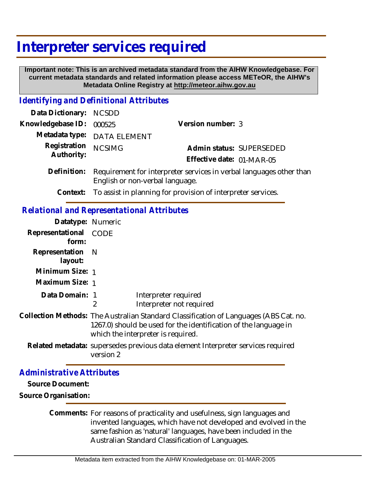## **Interpreter services required**

 **Important note: This is an archived metadata standard from the AIHW Knowledgebase. For current metadata standards and related information please access METeOR, the AIHW's Metadata Online Registry at http://meteor.aihw.gov.au**

## *Identifying and Definitional Attributes*

| Data Dictionary:                                  | <b>NCSDD</b>                                                                                                                                                                                    |                                                              |
|---------------------------------------------------|-------------------------------------------------------------------------------------------------------------------------------------------------------------------------------------------------|--------------------------------------------------------------|
| Knowledgebase ID:                                 | 000525                                                                                                                                                                                          | Version number: 3                                            |
| Metadata type:                                    | <b>DATA ELEMENT</b>                                                                                                                                                                             |                                                              |
| Registration<br>Authority:                        | <b>NCSIMG</b>                                                                                                                                                                                   | Admin status: SUPERSEDED<br>Effective date: 01-MAR-05        |
| Definition:                                       | Requirement for interpreter services in verbal languages other than<br>English or non-verbal language.                                                                                          |                                                              |
| Context:                                          |                                                                                                                                                                                                 | To assist in planning for provision of interpreter services. |
| <b>Relational and Representational Attributes</b> |                                                                                                                                                                                                 |                                                              |
| Datatype: Numeric                                 |                                                                                                                                                                                                 |                                                              |
| Representational<br>form:                         | <b>CODE</b>                                                                                                                                                                                     |                                                              |
| Representation<br>layout:                         | N                                                                                                                                                                                               |                                                              |
| Minimum Size: 1                                   |                                                                                                                                                                                                 |                                                              |
| Maximum Size: 1                                   |                                                                                                                                                                                                 |                                                              |
| Data Domain: 1                                    | $\overline{2}$                                                                                                                                                                                  | Interpreter required<br>Interpreter not required             |
|                                                   | Collection Methods: The Australian Standard Classification of Languages (ABS Cat. no.<br>1267.0) should be used for the identification of the language in<br>which the interpreter is required. |                                                              |
|                                                   | Related metadata: supersedes previous data element Interpreter services required<br>version 2                                                                                                   |                                                              |
| <b>Administrative Attributes</b>                  |                                                                                                                                                                                                 |                                                              |

**Source Document:**

**Source Organisation:**

Comments: For reasons of practicality and usefulness, sign languages and invented languages, which have not developed and evolved in the same fashion as 'natural' languages, have been included in the Australian Standard Classification of Languages.